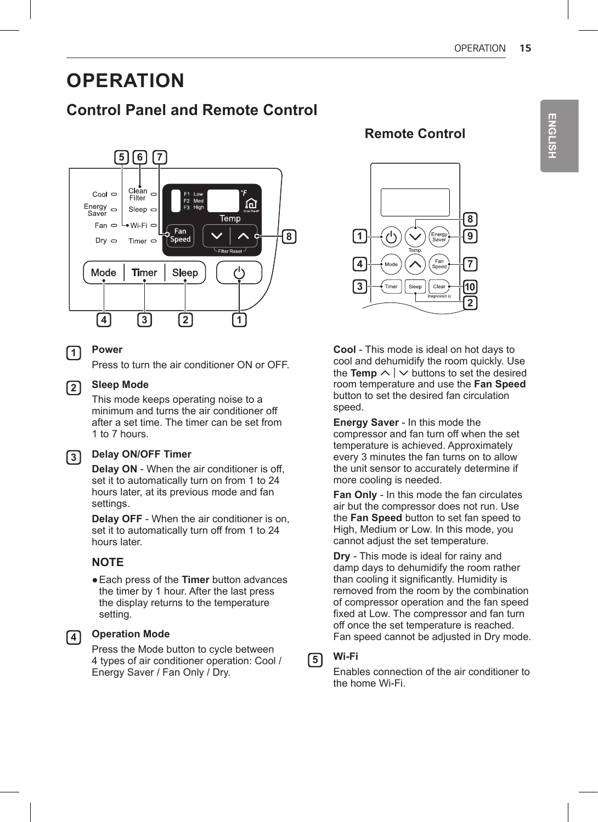# **OPERATION**

## **Control Panel and Remote Control**



### **1 Power**

Press to turn the air conditioner ON or OFF.

#### **2 Sleep Mode**

This mode keeps operating noise to a minimum and turns the air conditioner off after a set time. The timer can be set from 1 to 7 hours.

### **3 Delay ON/OFF Timer**

**Delay ON** - When the air conditioner is off, set it to automatically turn on from 1 to 24 hours later, at its previous mode and fan settings.

**Delay OFF** - When the air conditioner is on, set it to automatically turn off from 1 to 24 hours later.

#### **NOTE**

●Each press of the **Timer** button advances the timer by 1 hour. After the last press the display returns to the temperature setting.

#### **4 Operation Mode**

Press the Mode button to cycle between 4 types of air conditioner operation: Cool / Energy Saver / Fan Only / Dry.

## **Remote Control**



**Cool** - This mode is ideal on hot days to cool and dehumidify the room quickly. Use the **Temp**  $\land \lor$  buttons to set the desired room temperature and use the **Fan Speed** button to set the desired fan circulation speed.

**Energy Saver** - In this mode the compressor and fan turn off when the set temperature is achieved. Approximately every 3 minutes the fan turns on to allow the unit sensor to accurately determine if more cooling is needed.

**Fan Only** - In this mode the fan circulates air but the compressor does not run. Use the **Fan Speed** button to set fan speed to High, Medium or Low. In this mode, you cannot adjust the set temperature.

**Dry** - This mode is ideal for rainy and damp days to dehumidify the room rather than cooling it significantly. Humidity is removed from the room by the combination of compressor operation and the fan speed fixed at Low. The compressor and fan turn off once the set temperature is reached. Fan speed cannot be adjusted in Dry mode.

## **5 Wi-Fi**

Enables connection of the air conditioner to the home Wi-Fi.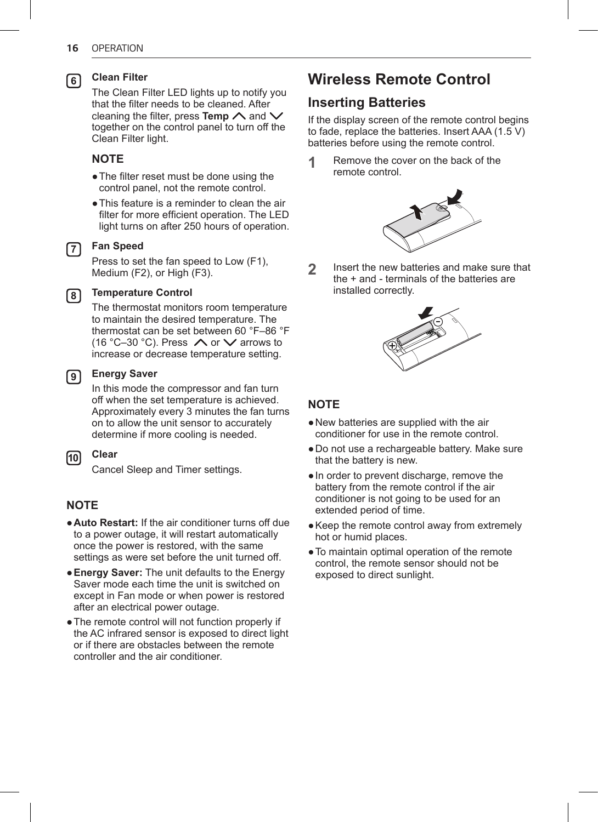#### **6 Clean Filter**

The Clean Filter LED lights up to notify you that the filter needs to be cleaned. After cleaning the filter, press **Temp**  $\land$  and  $\lor$ together on the control panel to turn off the Clean Filter light.

### **NOTE**

- The filter reset must be done using the control panel, not the remote control.
- ●This feature is a reminder to clean the air filter for more efficient operation. The LED light turns on after 250 hours of operation.

#### **7 Fan Speed**

Press to set the fan speed to Low (F1), Medium (F2), or High (F3).

#### **8 Temperature Control**

The thermostat monitors room temperature to maintain the desired temperature. The thermostat can be set between 60 °F–86 °F (16 °C–30 °C). Press  $\bigwedge$  or  $\bigvee$  arrows to increase or decrease temperature setting.

#### **9 Energy Saver**

In this mode the compressor and fan turn off when the set temperature is achieved. Approximately every 3 minutes the fan turns on to allow the unit sensor to accurately determine if more cooling is needed.

#### **10 Clear**

Cancel Sleep and Timer settings.

### **NOTE**

- ●**Auto Restart:** If the air conditioner turns off due to a power outage, it will restart automatically once the power is restored, with the same settings as were set before the unit turned off.
- ●**Energy Saver:** The unit defaults to the Energy Saver mode each time the unit is switched on except in Fan mode or when power is restored after an electrical power outage.
- ●The remote control will not function properly if the AC infrared sensor is exposed to direct light or if there are obstacles between the remote controller and the air conditioner.

## **Wireless Remote Control**

## **Inserting Batteries**

If the display screen of the remote control begins to fade, replace the batteries. Insert AAA (1.5 V) batteries before using the remote control.

**1** Remove the cover on the back of the remote control.



**2** Insert the new batteries and make sure that the + and - terminals of the batteries are installed correctly.



### **NOTE**

- ●New batteries are supplied with the air conditioner for use in the remote control.
- ●Do not use a rechargeable battery. Make sure that the battery is new.
- ●In order to prevent discharge, remove the battery from the remote control if the air conditioner is not going to be used for an extended period of time.
- Keep the remote control away from extremely hot or humid places.
- ●To maintain optimal operation of the remote control, the remote sensor should not be exposed to direct sunlight.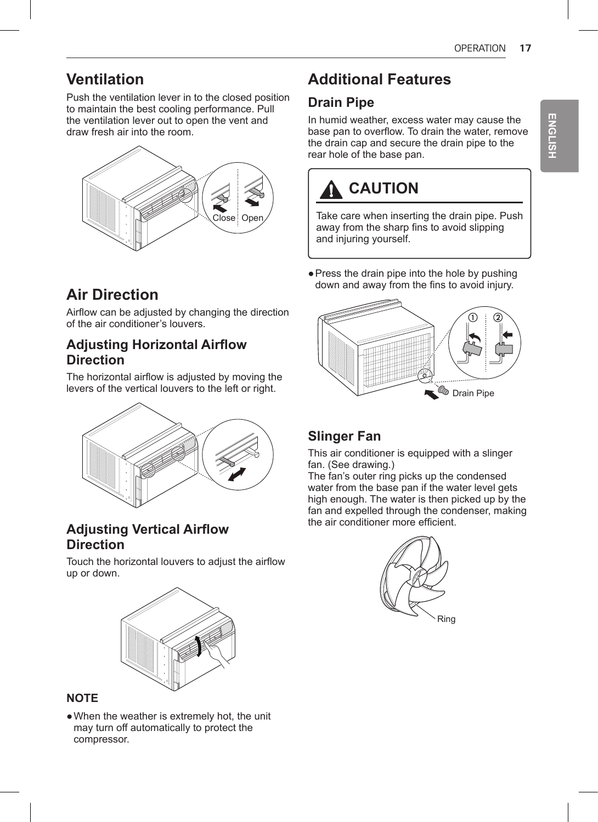## **Ventilation**

Push the ventilation lever in to the closed position to maintain the best cooling performance. Pull the ventilation lever out to open the vent and draw fresh air into the room.



# **Air Direction**

Airflow can be adjusted by changing the direction of the air conditioner's louvers.

## **Adjusting Horizontal Airflow Direction**

The horizontal airflow is adjusted by moving the levers of the vertical louvers to the left or right.



## **Adjusting Vertical Airflow Direction**

Touch the horizontal louvers to adjust the airflow up or down.



## **NOTE**

• When the weather is extremely hot, the unit may turn off automatically to protect the compressor.

# **Additional Features**

## **Drain Pipe**

In humid weather, excess water may cause the base pan to overflow. To drain the water, remove the drain cap and secure the drain pipe to the rear hole of the base pan.

# **CAUTION**

Take care when inserting the drain pipe. Push away from the sharp fins to avoid slipping and injuring yourself.

• Press the drain pipe into the hole by pushing down and away from the fins to avoid injury.



## **Slinger Fan**

This air conditioner is equipped with a slinger fan. (See drawing.)

The fan's outer ring picks up the condensed water from the base pan if the water level gets high enough. The water is then picked up by the fan and expelled through the condenser, making the air conditioner more efficient.

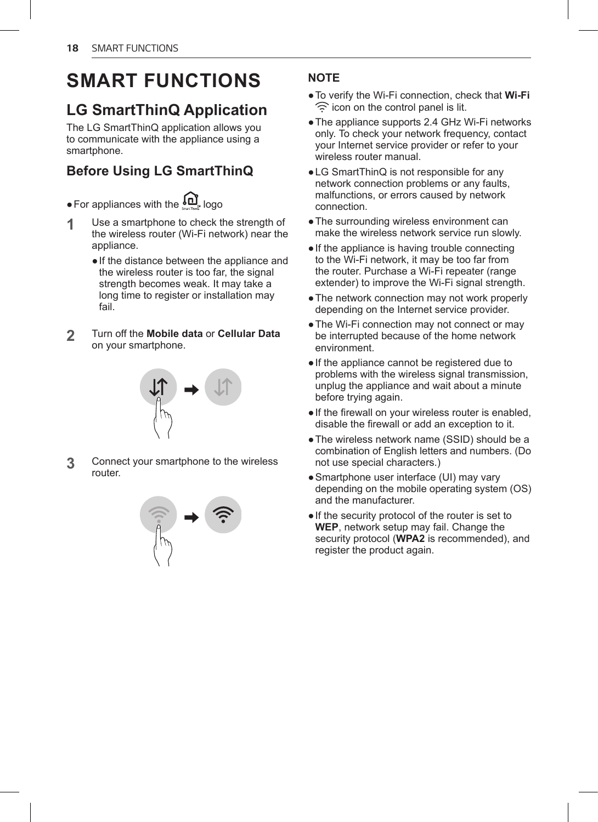# **SMART FUNCTIONS**

# **LG SmartThinQ Application**

The LG SmartThinQ application allows you to communicate with the appliance using a smartphone.

## **Before Using LG SmartThinQ**

 $\bullet$  For appliances with the  $\underline{\mathfrak{gl}}$  logo

- **1** Use a smartphone to check the strength of the wireless router (Wi-Fi network) near the appliance.
	- ●If the distance between the appliance and the wireless router is too far, the signal strength becomes weak. It may take a long time to register or installation may fail
- **2** Turn off the **Mobile data** or **Cellular Data** on your smartphone.

**3** Connect your smartphone to the wireless router.



## **NOTE**

- ●To verify the Wi-Fi connection, check that **Wi-Fi**  $\widehat{\mathcal{F}}$  icon on the control panel is lit.
- ●The appliance supports 2.4 GHz Wi-Fi networks only. To check your network frequency, contact your Internet service provider or refer to your wireless router manual.
- LG SmartThinQ is not responsible for any network connection problems or any faults, malfunctions, or errors caused by network connection.
- ●The surrounding wireless environment can make the wireless network service run slowly.
- ●If the appliance is having trouble connecting to the Wi-Fi network, it may be too far from the router. Purchase a Wi-Fi repeater (range extender) to improve the Wi-Fi signal strength.
- The network connection may not work properly depending on the Internet service provider.
- The Wi-Fi connection may not connect or may be interrupted because of the home network environment.
- ●If the appliance cannot be registered due to problems with the wireless signal transmission, unplug the appliance and wait about a minute before trying again.
- ●If the firewall on your wireless router is enabled, disable the firewall or add an exception to it.
- ●The wireless network name (SSID) should be a combination of English letters and numbers. (Do not use special characters.)
- Smartphone user interface (UI) may vary depending on the mobile operating system (OS) and the manufacturer.
- ●If the security protocol of the router is set to **WEP**, network setup may fail. Change the security protocol (**WPA2** is recommended), and register the product again.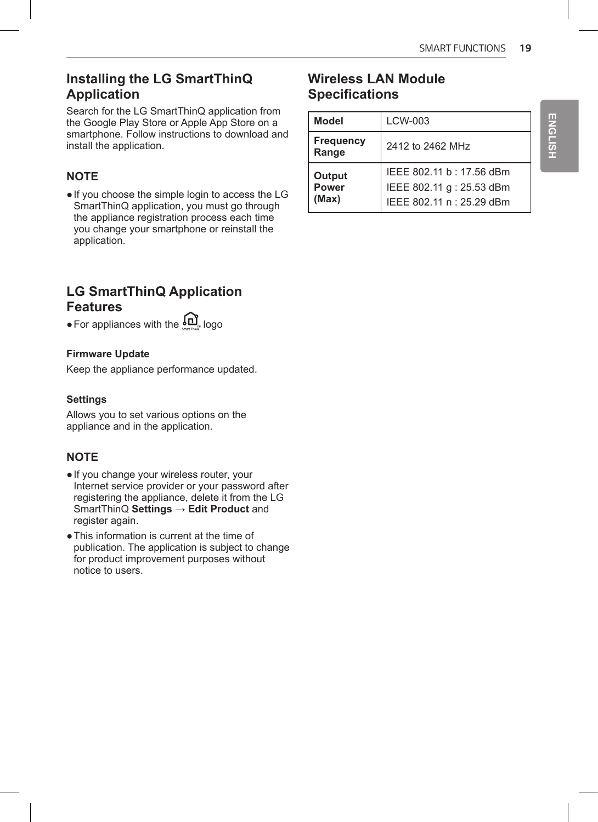## **Installing the LG SmartThinQ Application**

Search for the LG SmartThinQ application from the Google Play Store or Apple App Store on a smartphone. Follow instructions to download and install the application.

## **NOTE**

●If you choose the simple login to access the LG SmartThinQ application, you must go through the appliance registration process each time you change your smartphone or reinstall the application.

## **LG SmartThinQ Application Features**

 $\bullet$  For appliances with the  $\square$  logo

#### **Firmware Update**

Keep the appliance performance updated.

#### **Settings**

Allows you to set various options on the appliance and in the application.

## **NOTE**

- ●If you change your wireless router, your Internet service provider or your password after registering the appliance, delete it from the LG SmartThinQ **Settings** → **Edit Product** and register again.
- ●This information is current at the time of publication. The application is subject to change for product improvement purposes without notice to users.

## **Wireless LAN Module Specifications**

| <b>Model</b>             | LCW-003                                                                            |
|--------------------------|------------------------------------------------------------------------------------|
| Frequency<br>Range       | 2412 to 2462 MHz                                                                   |
| Output<br>Power<br>(Max) | IEEE 802.11 b: 17.56 dBm<br>IEEE 802.11 g : 25.53 dBm<br>IEEE 802.11 n : 25.29 dBm |

**ENGLISH ENGLISH**